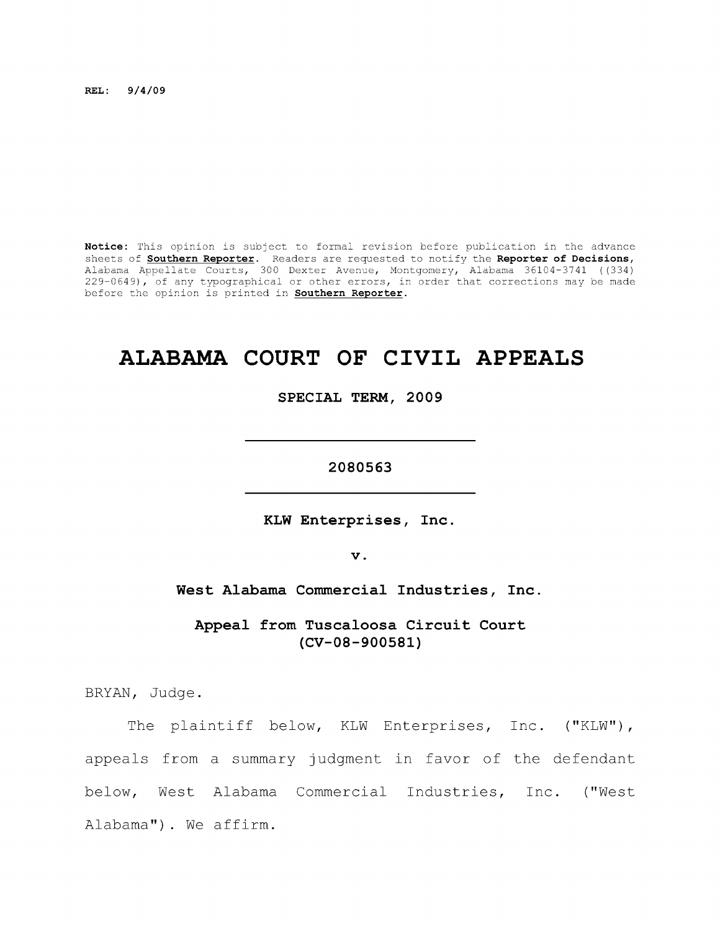**REL: 9/4/09** 

**Notice:** This opinion is subject to formal revision before publication in the advance sheets of **Southern Reporter.** Readers are requested to notify the **Reporter of Decisions,**  Alabama Appellate Courts, 300 Dexter Avenue, Montgomery, Alabama 36104-3741 ((334) 229-0649), of any typographical or other errors, in order that corrections may be made before the opinion is printed in **Southern Reporter.** 

# **ALABAMA COURT OF CIVIL APPEALS**

**SPECIAL TERM, 2009** 

**2080563** 

**KLW Enterprises, Inc** 

**V .** 

West Alabama Commercial Industries, Inc.

**Appeal from Tuscaloosa Circuit Court (CV-08-900581)** 

BRYAN, Judge.

The plaintiff below, KLW Enterprises, Inc. ("KLW"), appeals from a summary judgment in favor of the defendant below. West Alabama Commercial Industries, Inc. ("West Alabama"). We affirm.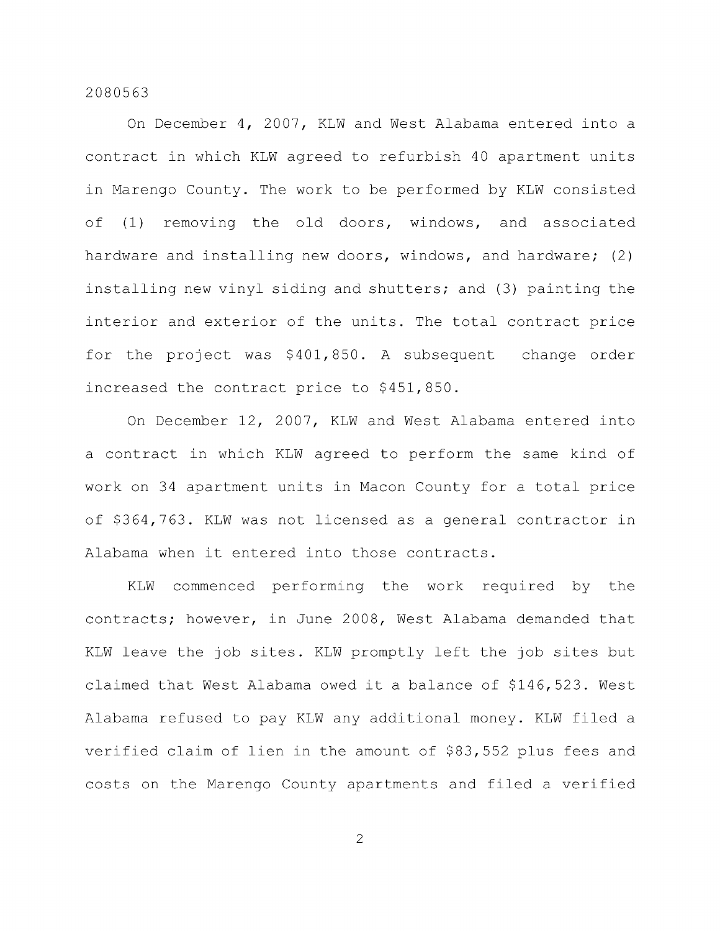On December 4, 2007, KLW and West Alabama entered into a contract in which KLW agreed to refurbish 40 apartment units in Marengo County. The work to be performed by KLW consisted of (1) removing the old doors, windows, and associated hardware and installing new doors, windows, and hardware; (2) installing new vinyl siding and shutters; and (3) painting the interior and exterior of the units. The total contract price for the project was \$401,850. A subsequent change order increased the contract price to \$451,850.

On December 12, 2007, KLW and West Alabama entered into a contract in which KLW agreed to perform the same kind of work on 34 apartment units in Macon County for a total price of \$364,763. KLW was not licensed as a general contractor in Alabama when it entered into those contracts.

KLW commenced performing the work required by the contracts; however, in June 2008, West Alabama demanded that KLW leave the job sites. KLW promptly left the job sites but claimed that West Alabama owed it a balance of \$146,523. West Alabama refused to pay KLW any additional money. KLW filed a verified claim of lien in the amount of \$83,552 plus fees and costs on the Marengo County apartments and filed a verified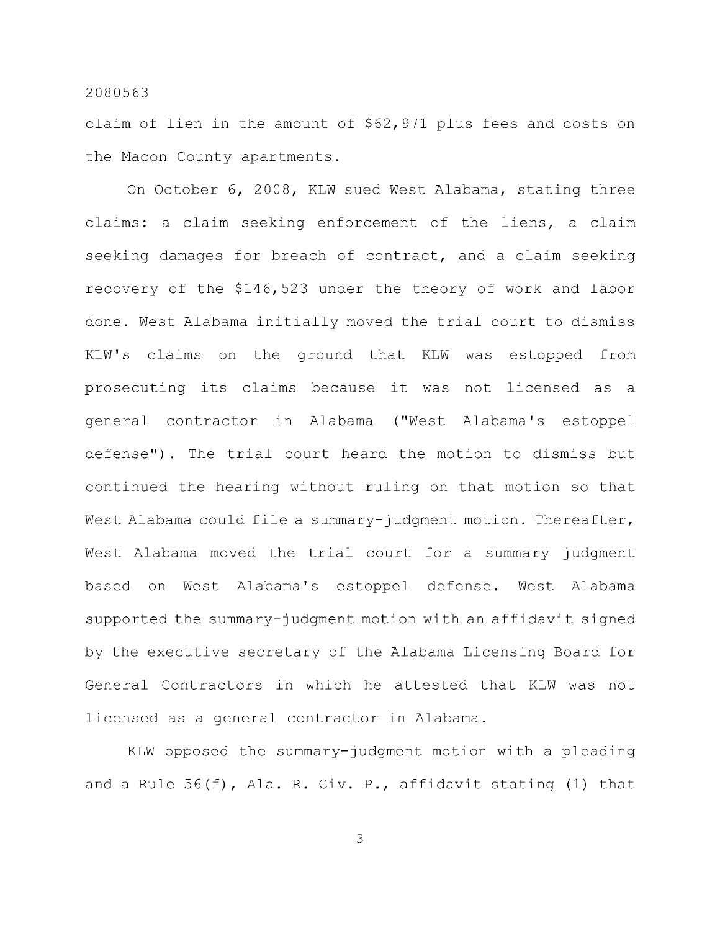claim of lien in the amount of \$62,971 plus fees and costs on the Macon County apartments.

On October 6, 2008, KLW sued West Alabama, stating three claims: a claim seeking enforcement of the liens, a claim seeking damages for breach of contract, and a claim seeking recovery of the \$146,523 under the theory of work and labor done. West Alabama initially moved the trial court to dismiss KLW's claims on the ground that KLW was estopped from prosecuting its claims because it was not licensed as a general contractor in Alabama ("West Alabama's estoppel defense") . The trial court heard the motion to dismiss but continued the hearing without ruling on that motion so that West Alabama could file a summary-judgment motion. Thereafter, West Alabama moved the trial court for a summary judgment based on West Alabama's estoppel defense. West Alabama supported the summary-judgment motion with an affidavit signed by the executive secretary of the Alabama Licensing Board for General Contractors in which he attested that KLW was not licensed as a general contractor in Alabama.

KLW opposed the summary-judgment motion with a pleading and a Rule 56(f), Ala. R. Civ. P., affidavit stating (1) that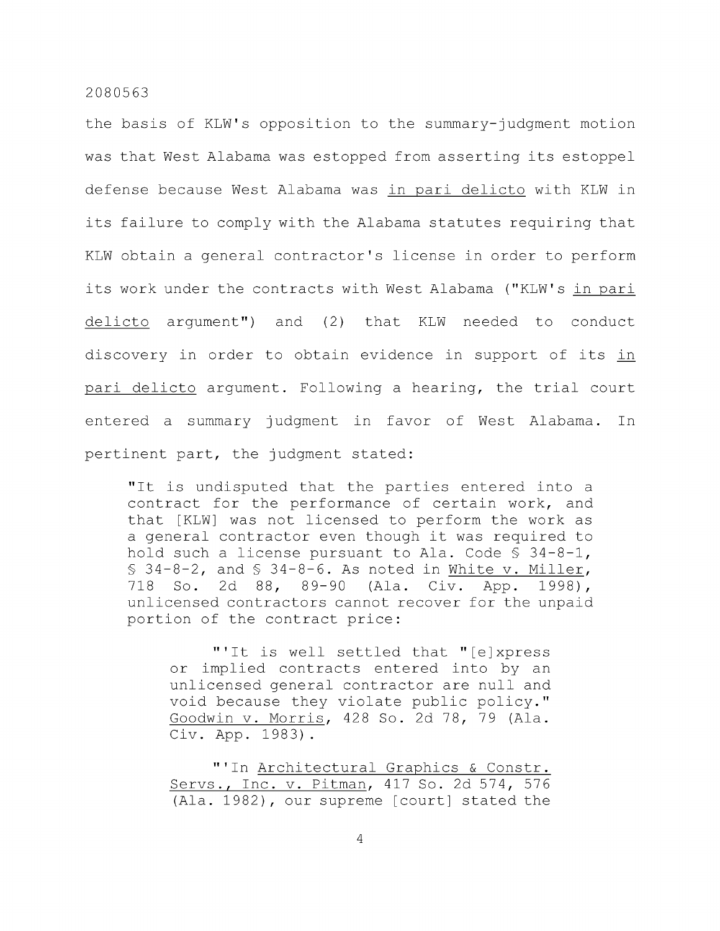the basis of KLW's opposition to the summary-judgment motion was that West Alabama was estopped from asserting its estoppel defense because West Alabama was in pari delicto with KLW in its failure to comply with the Alabama statutes requiring that KLW obtain a general contractor's license in order to perform its work under the contracts with West Alabama ("KLW's in pari delicto argument") and (2) that KLW needed to conduct discovery in order to obtain evidence in support of its in pari delicto argument. Following a hearing, the trial court entered a summary judgment in favor of West Alabama. In pertinent part, the judgment stated:

"It is undisputed that the parties entered into a contract for the performance of certain work, and that [KLW] was not licensed to perform the work as a general contractor even though it was required to hold such a license pursuant to Ala. Code § 34-8-1,  $$34-8-2$ , and  $$34-8-6$ . As noted in White v. Miller, 718 So. 2d 88, 89-90 (Ala. Civ. App. 1998), unlicensed contractors cannot recover for the unpaid portion of the contract price:

"'It is well settled that "[ejxpress or implied contracts entered into by an unlicensed general contractor are null and void because they violate public policy." Goodwin v. Morris, 428 So. 2d 78, 79 (Ala. Civ. App. 1983) .

"'In Architectural Graphics & Constr. Servs., Inc. v. Pitman, 417 So. 2d 574, 576 (Ala. 1982), our supreme [court] stated the

 $\overline{4}$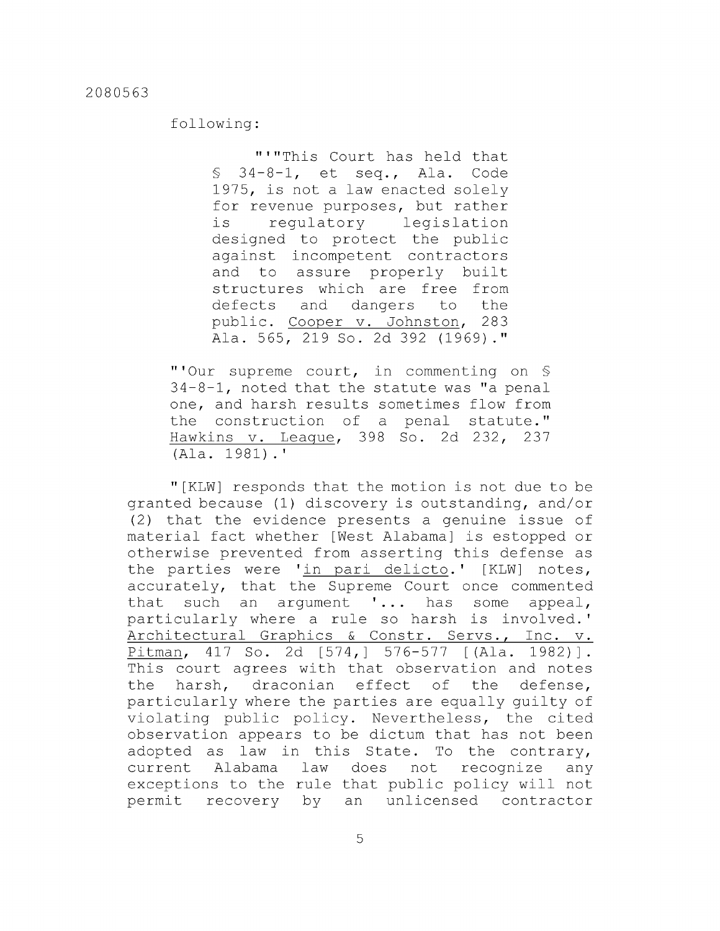## following:

"'"This Court has held that § 34-8-1, et seq., Ala. Code 1975, is not a law enacted solely for revenue purposes, but rather is regulatory legislation designed to protect the public against incompetent contractors and to assure properly built structures which are free from defects and dangers to the public. Cooper v. Johnston, 283 Ala. 565, 219 So. 2d 392 (1969)."

"'Our supreme court, in commenting on § 34-8-1, noted that the statute was "a penal one, and harsh results sometimes flow from the construction of a penal statute." Hawkins v. League, 398 So. 2d 232, 237 (Ala. 1981).'

"[KLW] responds that the motion is not due to be granted because (1) discovery is outstanding, and/or (2) that the evidence presents a genuine issue of material fact whether [West Alabama] is estopped or otherwise prevented from asserting this defense as the parties were 'in pari delicto.' [KLW] notes, accurately, that the Supreme Court once commented that such an argument '... has some appeal, particularly where a rule so harsh is involved.' Architectural Graphics & Constr. Servs., Inc. v. Pitman, 417 So. 2d [574,] 576-577 [(Ala. 1982)]. This court agrees with that observation and notes the harsh, draconian effect of the defense, particularly where the parties are equally guilty of violating public policy. Nevertheless, the cited observation appears to be dictum that has not been adopted as law in this State. To the contrary, current Alabama law does not recognize any exceptions to the rule that public policy will not permit recovery by an unlicensed contractor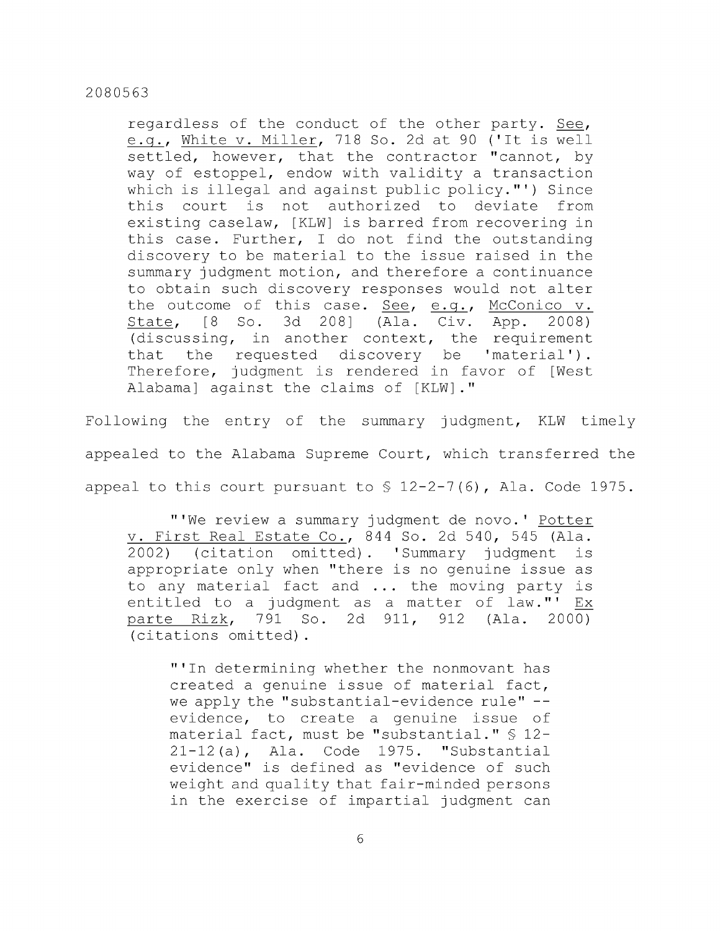regardless of the conduct of the other party. See, e.g., White v. Miller, 718 So. 2d at 90 ('It is well settled, however, that the contractor "cannot, by way of estoppel, endow with validity a transaction which is illegal and against public policy."') Since this court is not authorized to deviate from existing caselaw, [KLW] is barred from recovering in this case. Further, I do not find the outstanding discovery to be material to the issue raised in the summary judgment motion, and therefore a continuance to obtain such discovery responses would not alter the outcome of this case. See, e.g., McConico v. State, [8 So. 3d 208] (Ala. Civ. App. 2008) (discussing, in another context, the requirement that the requested discovery be 'material'). Therefore, judgment is rendered in favor of [West Alabama] against the claims of [KLW]."

Following the entry of the summary judgment, KLW timely appealed to the Alabama Supreme Court, which transferred the appeal to this court pursuant to  $\frac{12-2-7(6)}{12-2-7(6)}$ , Ala. Code 1975.

"'We review a summary judgment de novo.' Potter V. First Real Estate Co., 844 So. 2d 540, 545 (Ala. 2002) (citation omitted). 'Summary judgment is appropriate only when "there is no genuine issue as to any material fact and ... the moving party is entitled to a judgment as a matter of law."' Ex parte Rizk, 791 So. 2d 911, 912 (Ala. 2000) (citations omitted).

"'In determining whether the nonmovant has created a genuine issue of material fact, we apply the "substantial-evidence rule" -evidence, to create a genuine issue of material fact, must be "substantial." § 12- 21-12 (a), Ala. Code 1975. "Substantial evidence" is defined as "evidence of such weight and quality that fair-minded persons in the exercise of impartial judgment can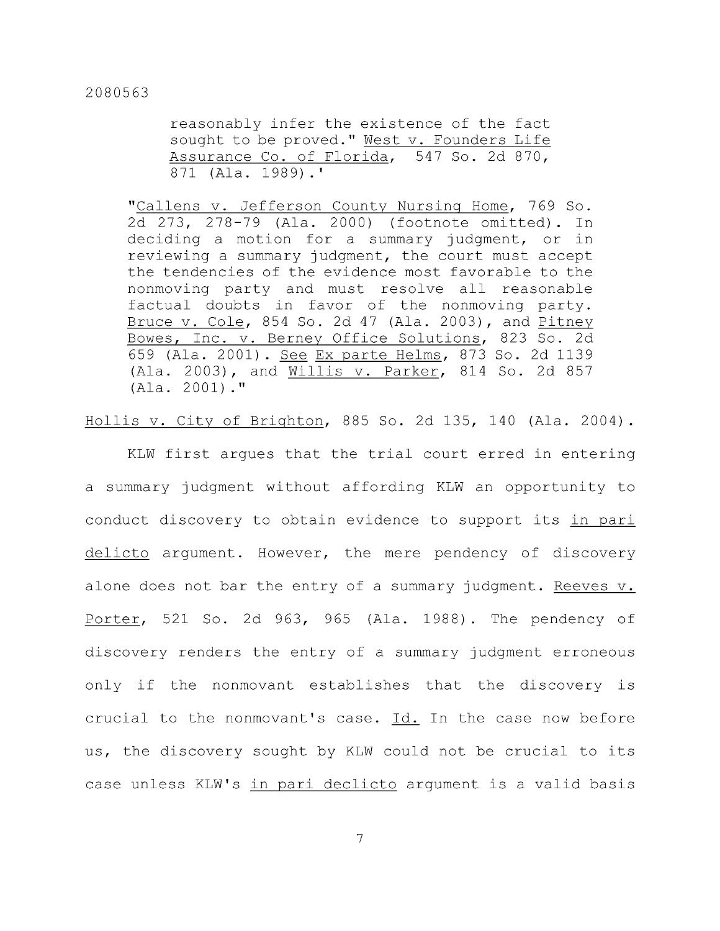reasonably infer the existence of the fact sought to be proved." West v. Founders Life Assurance Co. of Florida, 547 So. 2d 870, 871 (Ala. 1989).'

"Callens v. Jefferson County Nursing Home, 769 So. 2d 273, 278-79 (Ala. 2000) (footnote omitted). In deciding a motion for a summary judgment, or in reviewing a summary judgment, the court must accept the tendencies of the evidence most favorable to the nonmoving party and must resolve all reasonable factual doubts in favor of the nonmoving party. Bruce v. Cole, 854 So. 2d 47 (Ala. 2003), and Pitney Bowes, Inc. v. Berney Office Solutions, 823 So. 2d 659 (Ala. 2001) . See Ex parte Helms, 873 So. 2d 1139 (Ala. 2003), and Willis v. Parker, 814 So. 2d 857 (Ala. 2001)."

Hollis V. City of Brighton, 885 So. 2d 135, 140 (Ala. 2004) .

KLW first argues that the trial court erred in entering a summary judgment without affording KLW an opportunity to conduct discovery to obtain evidence to support its in pari delicto argument. However, the mere pendency of discovery alone does not bar the entry of a summary judgment. Reeves v. Porter, 521 So. 2d 963, 965 (Ala. 1988). The pendency of discovery renders the entry of a summary judgment erroneous only if the nonmovant establishes that the discovery is crucial to the nonmovant's case.  $Id.$  In the case now before us, the discovery sought by KLW could not be crucial to its case unless KLW's in pari declicto argument is a valid basis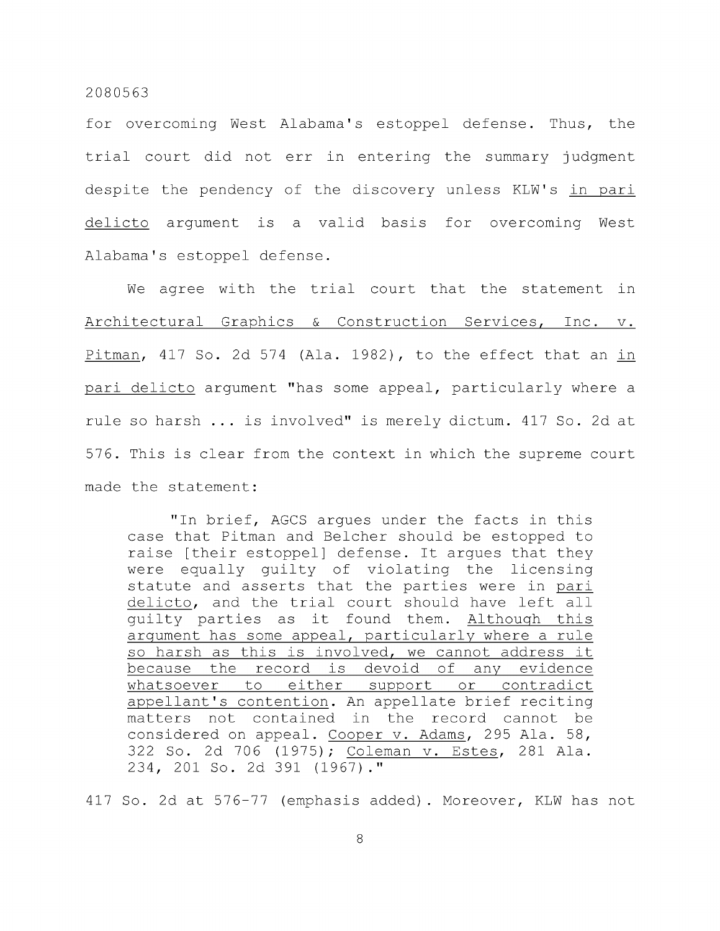for overcoming West Alabama's estoppel defense. Thus, the trial court did not err in entering the summary judgment despite the pendency of the discovery unless KLW's in pari delicto argument is a valid basis for overcoming West Alabama's estoppel defense.

We agree with the trial court that the statement in Architectural Graphics & Construction Services, Inc. v. Pitman, 417 So. 2d 574 (Ala. 1982), to the effect that an in pari delicto argument "has some appeal, particularly where a rule so harsh ... is involved" is merely dictum. 417 So. 2d at 576. This is clear from the context in which the supreme court made the statement:

"In brief, AGCS argues under the facts in this case that Pitman and Belcher should be estopped to raise [their estoppel] defense. It argues that they were equally guilty of violating the licensing statute and asserts that the parties were in pari delicto, and the trial court should have left all guilty parties as it found them. Although this argument has some appeal, particularly where a rule so harsh as this is involved, we cannot address it because the record is devoid of any evidence whatsoever to either support or contradict appellant's contention. An appellate brief reciting matters not contained in the record cannot be considered on appeal. Cooper v. Adams, 295 Ala. 58, 322 So. 2d 706 (1975); Coleman v. Estes, 281 Ala. 234, 201 So. 2d 391 (1967)."

417 So. 2d at 576-77 (emphasis added). Moreover, KLW has not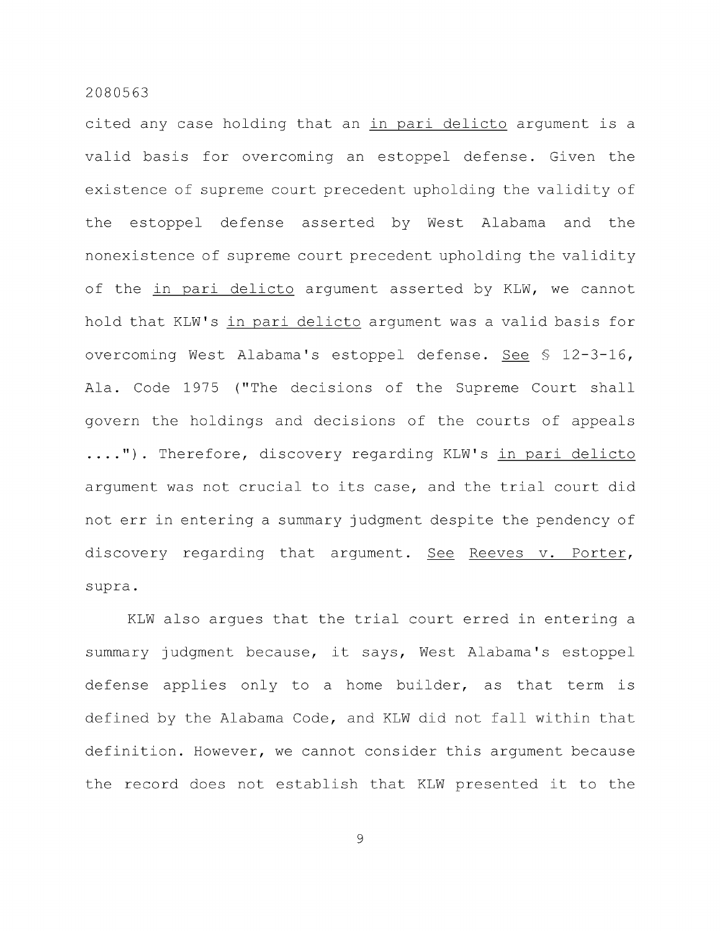cited any case holding that an in pari delicto argument is a valid basis for overcoming an estoppel defense. Given the existence of supreme court precedent upholding the validity of the estoppel defense asserted by West Alabama and the nonexistence of supreme court precedent upholding the validity of the in pari delicto argument asserted by KLW, we cannot hold that KLW's in pari delicto argument was a valid basis for overcoming West Alabama's estoppel defense. See § 12-3-16, Ala. Code 1975 ("The decisions of the Supreme Court shall govern the holdings and decisions of the courts of appeals ....") . Therefore, discovery regarding KLW's in pari delicto argument was not crucial to its case, and the trial court did not err in entering a summary judgment despite the pendency of discovery regarding that argument. See Reeves v. Porter, supra.

KLW also argues that the trial court erred in entering a summary judgment because, it says, West Alabama's estoppel defense applies only to a home builder, as that term is defined by the Alabama Code, and KLW did not fall within that definition. However, we cannot consider this argument because the record does not establish that KLW presented it to the